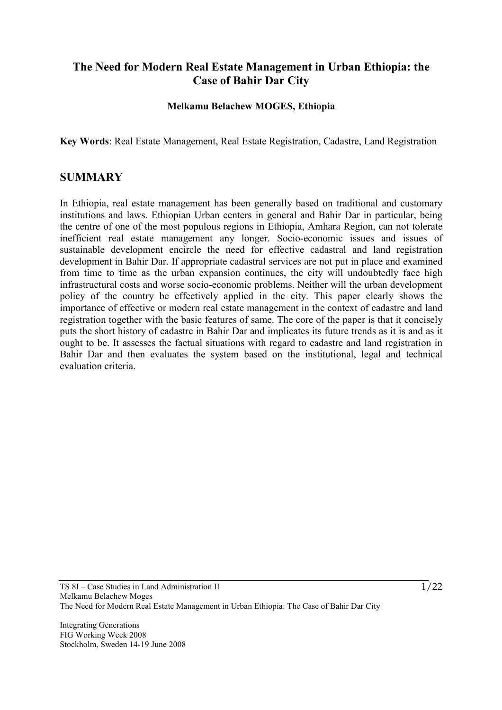# **The Need for Modern Real Estate Management in Urban Ethiopia: the Case of Bahir Dar City**

#### **Melkamu Belachew MOGES, Ethiopia**

**Key Words**: Real Estate Management, Real Estate Registration, Cadastre, Land Registration

## **SUMMARY**

In Ethiopia, real estate management has been generally based on traditional and customary institutions and laws. Ethiopian Urban centers in general and Bahir Dar in particular, being the centre of one of the most populous regions in Ethiopia, Amhara Region, can not tolerate inefficient real estate management any longer. Socio-economic issues and issues of sustainable development encircle the need for effective cadastral and land registration development in Bahir Dar. If appropriate cadastral services are not put in place and examined from time to time as the urban expansion continues, the city will undoubtedly face high infrastructural costs and worse socio-economic problems. Neither will the urban development policy of the country be effectively applied in the city. This paper clearly shows the importance of effective or modern real estate management in the context of cadastre and land registration together with the basic features of same. The core of the paper is that it concisely puts the short history of cadastre in Bahir Dar and implicates its future trends as it is and as it ought to be. It assesses the factual situations with regard to cadastre and land registration in Bahir Dar and then evaluates the system based on the institutional, legal and technical evaluation criteria.

Integrating Generations FIG Working Week 2008 Stockholm, Sweden 14-19 June 2008  $\frac{1}{22}$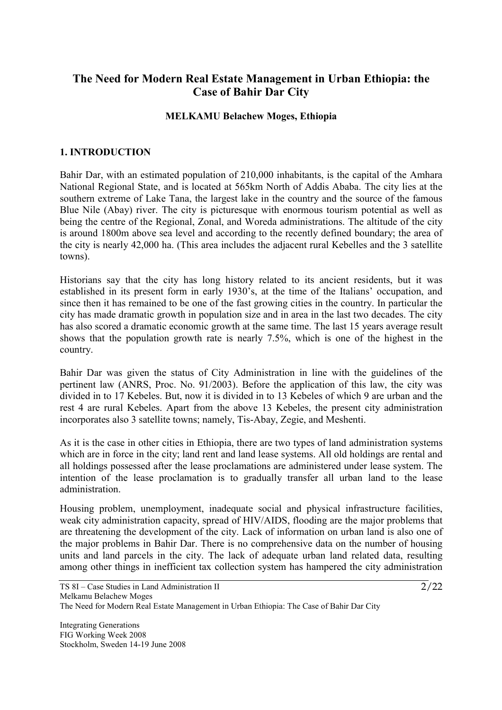# **The Need for Modern Real Estate Management in Urban Ethiopia: the Case of Bahir Dar City**

#### **MELKAMU Belachew Moges, Ethiopia**

#### **1. INTRODUCTION**

Bahir Dar, with an estimated population of 210,000 inhabitants, is the capital of the Amhara National Regional State, and is located at 565km North of Addis Ababa. The city lies at the southern extreme of Lake Tana, the largest lake in the country and the source of the famous Blue Nile (Abay) river. The city is picturesque with enormous tourism potential as well as being the centre of the Regional, Zonal, and Woreda administrations. The altitude of the city is around 1800m above sea level and according to the recently defined boundary; the area of the city is nearly 42,000 ha. (This area includes the adjacent rural Kebelles and the 3 satellite towns).

Historians say that the city has long history related to its ancient residents, but it was established in its present form in early 1930's, at the time of the Italians' occupation, and since then it has remained to be one of the fast growing cities in the country. In particular the city has made dramatic growth in population size and in area in the last two decades. The city has also scored a dramatic economic growth at the same time. The last 15 years average result shows that the population growth rate is nearly 7.5%, which is one of the highest in the country.

Bahir Dar was given the status of City Administration in line with the guidelines of the pertinent law (ANRS, Proc. No. 91/2003). Before the application of this law, the city was divided in to 17 Kebeles. But, now it is divided in to 13 Kebeles of which 9 are urban and the rest 4 are rural Kebeles. Apart from the above 13 Kebeles, the present city administration incorporates also 3 satellite towns; namely, Tis-Abay, Zegie, and Meshenti.

As it is the case in other cities in Ethiopia, there are two types of land administration systems which are in force in the city; land rent and land lease systems. All old holdings are rental and all holdings possessed after the lease proclamations are administered under lease system. The intention of the lease proclamation is to gradually transfer all urban land to the lease administration.

Housing problem, unemployment, inadequate social and physical infrastructure facilities, weak city administration capacity, spread of HIV/AIDS, flooding are the major problems that are threatening the development of the city. Lack of information on urban land is also one of the major problems in Bahir Dar. There is no comprehensive data on the number of housing units and land parcels in the city. The lack of adequate urban land related data, resulting among other things in inefficient tax collection system has hampered the city administration

Integrating Generations FIG Working Week 2008 Stockholm, Sweden 14-19 June 2008  $\frac{2}{2}$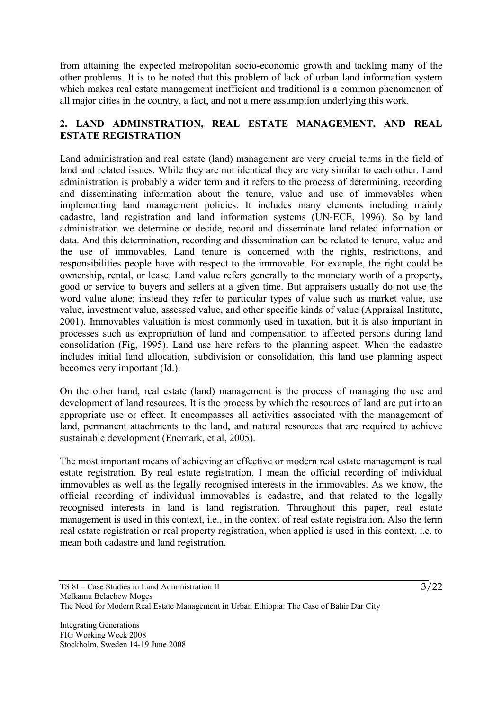from attaining the expected metropolitan socio-economic growth and tackling many of the other problems. It is to be noted that this problem of lack of urban land information system which makes real estate management inefficient and traditional is a common phenomenon of all major cities in the country, a fact, and not a mere assumption underlying this work.

## **2. LAND ADMINSTRATION, REAL ESTATE MANAGEMENT, AND REAL ESTATE REGISTRATION**

Land administration and real estate (land) management are very crucial terms in the field of land and related issues. While they are not identical they are very similar to each other. Land administration is probably a wider term and it refers to the process of determining, recording and disseminating information about the tenure, value and use of immovables when implementing land management policies. It includes many elements including mainly cadastre, land registration and land information systems (UN-ECE, 1996). So by land administration we determine or decide, record and disseminate land related information or data. And this determination, recording and dissemination can be related to tenure, value and the use of immovables. Land tenure is concerned with the rights, restrictions, and responsibilities people have with respect to the immovable. For example, the right could be ownership, rental, or lease. Land value refers generally to the monetary worth of a property, good or service to buyers and sellers at a given time. But appraisers usually do not use the word value alone; instead they refer to particular types of value such as market value, use value, investment value, assessed value, and other specific kinds of value (Appraisal Institute, 2001). Immovables valuation is most commonly used in taxation, but it is also important in processes such as expropriation of land and compensation to affected persons during land consolidation (Fig, 1995). Land use here refers to the planning aspect. When the cadastre includes initial land allocation, subdivision or consolidation, this land use planning aspect becomes very important (Id.).

On the other hand, real estate (land) management is the process of managing the use and development of land resources. It is the process by which the resources of land are put into an appropriate use or effect. It encompasses all activities associated with the management of land, permanent attachments to the land, and natural resources that are required to achieve sustainable development (Enemark, et al, 2005).

The most important means of achieving an effective or modern real estate management is real estate registration. By real estate registration, I mean the official recording of individual immovables as well as the legally recognised interests in the immovables. As we know, the official recording of individual immovables is cadastre, and that related to the legally recognised interests in land is land registration. Throughout this paper, real estate management is used in this context, i.e., in the context of real estate registration. Also the term real estate registration or real property registration, when applied is used in this context, i.e. to mean both cadastre and land registration.

Integrating Generations FIG Working Week 2008 Stockholm, Sweden 14-19 June 2008  $\frac{1}{3}$ /22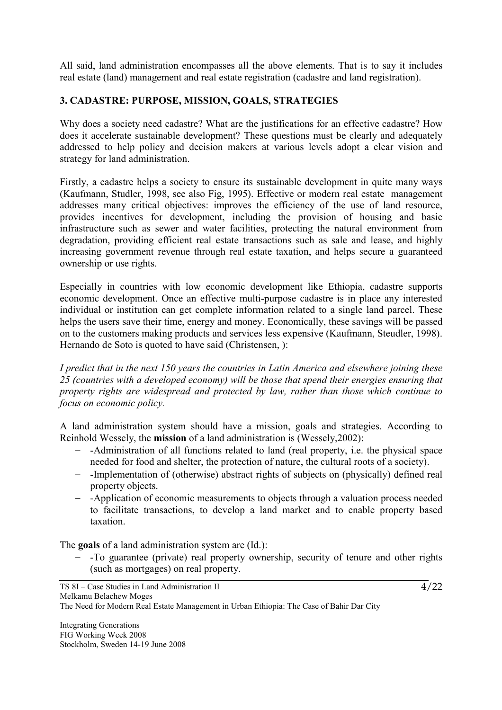All said, land administration encompasses all the above elements. That is to say it includes real estate (land) management and real estate registration (cadastre and land registration).

## **3. CADASTRE: PURPOSE, MISSION, GOALS, STRATEGIES**

Why does a society need cadastre? What are the justifications for an effective cadastre? How does it accelerate sustainable development? These questions must be clearly and adequately addressed to help policy and decision makers at various levels adopt a clear vision and strategy for land administration.

Firstly, a cadastre helps a society to ensure its sustainable development in quite many ways (Kaufmann, Studler, 1998, see also Fig, 1995). Effective or modern real estate management addresses many critical objectives: improves the efficiency of the use of land resource, provides incentives for development, including the provision of housing and basic infrastructure such as sewer and water facilities, protecting the natural environment from degradation, providing efficient real estate transactions such as sale and lease, and highly increasing government revenue through real estate taxation, and helps secure a guaranteed ownership or use rights.

Especially in countries with low economic development like Ethiopia, cadastre supports economic development. Once an effective multi-purpose cadastre is in place any interested individual or institution can get complete information related to a single land parcel. These helps the users save their time, energy and money. Economically, these savings will be passed on to the customers making products and services less expensive (Kaufmann, Steudler, 1998). Hernando de Soto is quoted to have said (Christensen, ):

*I predict that in the next 150 years the countries in Latin America and elsewhere joining these 25 (countries with a developed economy) will be those that spend their energies ensuring that property rights are widespread and protected by law, rather than those which continue to focus on economic policy.*

A land administration system should have a mission, goals and strategies. According to Reinhold Wessely, the **mission** of a land administration is (Wessely,2002):

- − -Administration of all functions related to land (real property, i.e. the physical space needed for food and shelter, the protection of nature, the cultural roots of a society).
- − -Implementation of (otherwise) abstract rights of subjects on (physically) defined real property objects.
- − -Application of economic measurements to objects through a valuation process needed to facilitate transactions, to develop a land market and to enable property based taxation.

The **goals** of a land administration system are (Id.):

− -To guarantee (private) real property ownership, security of tenure and other rights (such as mortgages) on real property.

 $\frac{1}{4}$ /22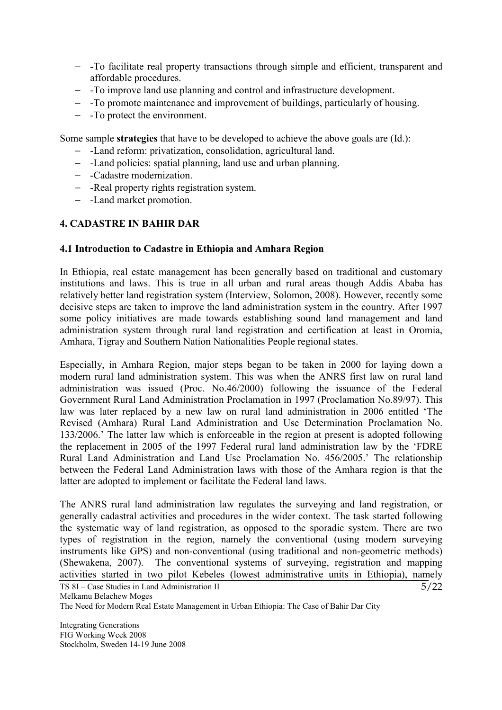- − -To facilitate real property transactions through simple and efficient, transparent and affordable procedures.
- − -To improve land use planning and control and infrastructure development.
- − -To promote maintenance and improvement of buildings, particularly of housing.
- − -To protect the environment.

Some sample **strategies** that have to be developed to achieve the above goals are (Id.):

- − -Land reform: privatization, consolidation, agricultural land.
- − -Land policies: spatial planning, land use and urban planning.
- − -Cadastre modernization.
- − -Real property rights registration system.
- − -Land market promotion.

## **4. CADASTRE IN BAHIR DAR**

## **4.1 Introduction to Cadastre in Ethiopia and Amhara Region**

In Ethiopia, real estate management has been generally based on traditional and customary institutions and laws. This is true in all urban and rural areas though Addis Ababa has relatively better land registration system (Interview, Solomon, 2008). However, recently some decisive steps are taken to improve the land administration system in the country. After 1997 some policy initiatives are made towards establishing sound land management and land administration system through rural land registration and certification at least in Oromia, Amhara, Tigray and Southern Nation Nationalities People regional states.

Especially, in Amhara Region, major steps began to be taken in 2000 for laying down a modern rural land administration system. This was when the ANRS first law on rural land administration was issued (Proc. No.46/2000) following the issuance of the Federal Government Rural Land Administration Proclamation in 1997 (Proclamation No.89/97). This law was later replaced by a new law on rural land administration in 2006 entitled 'The Revised (Amhara) Rural Land Administration and Use Determination Proclamation No. 133/2006.' The latter law which is enforceable in the region at present is adopted following the replacement in 2005 of the 1997 Federal rural land administration law by the 'FDRE Rural Land Administration and Land Use Proclamation No. 456/2005.' The relationship between the Federal Land Administration laws with those of the Amhara region is that the latter are adopted to implement or facilitate the Federal land laws.

 $\frac{1}{5}/22$ The ANRS rural land administration law regulates the surveying and land registration, or generally cadastral activities and procedures in the wider context. The task started following the systematic way of land registration, as opposed to the sporadic system. There are two types of registration in the region, namely the conventional (using modern surveying instruments like GPS) and non-conventional (using traditional and non-geometric methods) (Shewakena, 2007). The conventional systems of surveying, registration and mapping activities started in two pilot Kebeles (lowest administrative units in Ethiopia), namely

Integrating Generations FIG Working Week 2008 Stockholm, Sweden 14-19 June 2008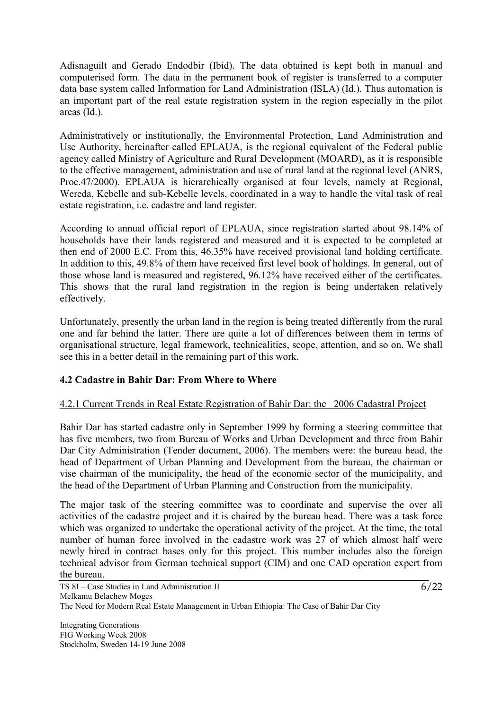Adisnaguilt and Gerado Endodbir (Ibid). The data obtained is kept both in manual and computerised form. The data in the permanent book of register is transferred to a computer data base system called Information for Land Administration (ISLA) (Id.). Thus automation is an important part of the real estate registration system in the region especially in the pilot areas (Id.).

Administratively or institutionally, the Environmental Protection, Land Administration and Use Authority, hereinafter called EPLAUA, is the regional equivalent of the Federal public agency called Ministry of Agriculture and Rural Development (MOARD), as it is responsible to the effective management, administration and use of rural land at the regional level (ANRS, Proc.47/2000). EPLAUA is hierarchically organised at four levels, namely at Regional, Wereda, Kebelle and sub-Kebelle levels, coordinated in a way to handle the vital task of real estate registration, i.e. cadastre and land register.

According to annual official report of EPLAUA, since registration started about 98.14% of households have their lands registered and measured and it is expected to be completed at then end of 2000 E.C. From this, 46.35% have received provisional land holding certificate. In addition to this, 49.8% of them have received first level book of holdings. In general, out of those whose land is measured and registered, 96.12% have received either of the certificates. This shows that the rural land registration in the region is being undertaken relatively effectively.

Unfortunately, presently the urban land in the region is being treated differently from the rural one and far behind the latter. There are quite a lot of differences between them in terms of organisational structure, legal framework, technicalities, scope, attention, and so on. We shall see this in a better detail in the remaining part of this work.

## **4.2 Cadastre in Bahir Dar: From Where to Where**

## 4.2.1 Current Trends in Real Estate Registration of Bahir Dar: the 2006 Cadastral Project

Bahir Dar has started cadastre only in September 1999 by forming a steering committee that has five members, two from Bureau of Works and Urban Development and three from Bahir Dar City Administration (Tender document, 2006). The members were: the bureau head, the head of Department of Urban Planning and Development from the bureau, the chairman or vise chairman of the municipality, the head of the economic sector of the municipality, and the head of the Department of Urban Planning and Construction from the municipality.

The major task of the steering committee was to coordinate and supervise the over all activities of the cadastre project and it is chaired by the bureau head. There was a task force which was organized to undertake the operational activity of the project. At the time, the total number of human force involved in the cadastre work was 27 of which almost half were newly hired in contract bases only for this project. This number includes also the foreign technical advisor from German technical support (CIM) and one CAD operation expert from the bureau.

Integrating Generations FIG Working Week 2008 Stockholm, Sweden 14-19 June 2008  $\frac{6}{22}$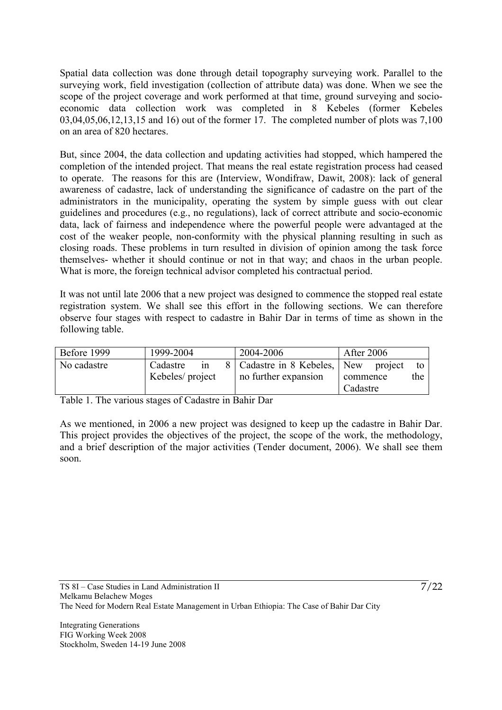Spatial data collection was done through detail topography surveying work. Parallel to the surveying work, field investigation (collection of attribute data) was done. When we see the scope of the project coverage and work performed at that time, ground surveying and socioeconomic data collection work was completed in 8 Kebeles (former Kebeles 03,04,05,06,12,13,15 and 16) out of the former 17. The completed number of plots was 7,100 on an area of 820 hectares.

But, since 2004, the data collection and updating activities had stopped, which hampered the completion of the intended project. That means the real estate registration process had ceased to operate. The reasons for this are (Interview, Wondifraw, Dawit, 2008): lack of general awareness of cadastre, lack of understanding the significance of cadastre on the part of the administrators in the municipality, operating the system by simple guess with out clear guidelines and procedures (e.g., no regulations), lack of correct attribute and socio-economic data, lack of fairness and independence where the powerful people were advantaged at the cost of the weaker people, non-conformity with the physical planning resulting in such as closing roads. These problems in turn resulted in division of opinion among the task force themselves- whether it should continue or not in that way; and chaos in the urban people. What is more, the foreign technical advisor completed his contractual period.

It was not until late 2006 that a new project was designed to commence the stopped real estate registration system. We shall see this effort in the following sections. We can therefore observe four stages with respect to cadastre in Bahir Dar in terms of time as shown in the following table.

| Before 1999 | 1999-2004       |    | 2004-2006                                | <b>After 2006</b> |  |     |
|-------------|-----------------|----|------------------------------------------|-------------------|--|-----|
| No cadastre | Cadastre        | 1n | 8   Cadastre in 8 Kebeles,   New project |                   |  | to  |
|             | Kebeles/project |    | no further expansion                     | commence          |  | the |
|             |                 |    |                                          | Cadastre          |  |     |

Table 1. The various stages of Cadastre in Bahir Dar

As we mentioned, in 2006 a new project was designed to keep up the cadastre in Bahir Dar. This project provides the objectives of the project, the scope of the work, the methodology, and a brief description of the major activities (Tender document, 2006). We shall see them soon.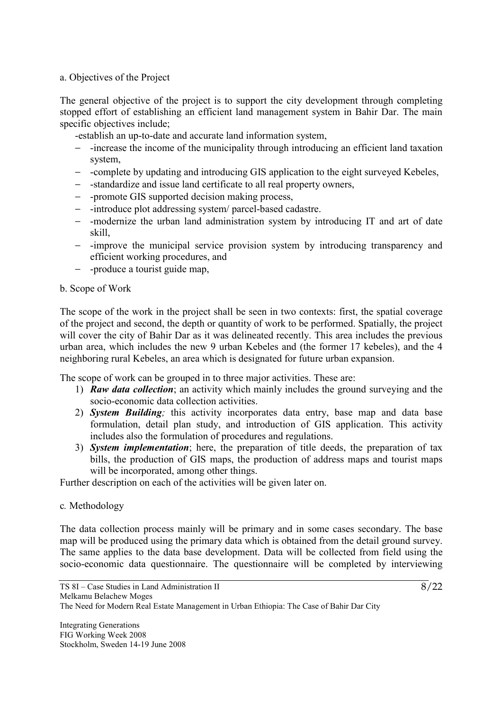## a. Objectives of the Project

The general objective of the project is to support the city development through completing stopped effort of establishing an efficient land management system in Bahir Dar. The main specific objectives include;

-establish an up-to-date and accurate land information system,

- − -increase the income of the municipality through introducing an efficient land taxation system,
- − -complete by updating and introducing GIS application to the eight surveyed Kebeles,
- − -standardize and issue land certificate to all real property owners,
- − -promote GIS supported decision making process,
- − -introduce plot addressing system/ parcel-based cadastre.
- − -modernize the urban land administration system by introducing IT and art of date skill,
- − -improve the municipal service provision system by introducing transparency and efficient working procedures, and
- − -produce a tourist guide map,

#### b. Scope of Work

The scope of the work in the project shall be seen in two contexts: first, the spatial coverage of the project and second, the depth or quantity of work to be performed. Spatially, the project will cover the city of Bahir Dar as it was delineated recently. This area includes the previous urban area, which includes the new 9 urban Kebeles and (the former 17 kebeles), and the 4 neighboring rural Kebeles, an area which is designated for future urban expansion.

The scope of work can be grouped in to three major activities. These are:

- 1) *Raw data collection*; an activity which mainly includes the ground surveying and the socio-economic data collection activities.
- 2) *System Building;* this activity incorporates data entry, base map and data base formulation, detail plan study, and introduction of GIS application. This activity includes also the formulation of procedures and regulations.
- 3) *System implementation*; here, the preparation of title deeds, the preparation of tax bills, the production of GIS maps, the production of address maps and tourist maps will be incorporated, among other things.

Further description on each of the activities will be given later on.

## c*.* Methodology

The data collection process mainly will be primary and in some cases secondary. The base map will be produced using the primary data which is obtained from the detail ground survey. The same applies to the data base development. Data will be collected from field using the socio-economic data questionnaire. The questionnaire will be completed by interviewing

Integrating Generations FIG Working Week 2008 Stockholm, Sweden 14-19 June 2008  $\frac{8}{22}$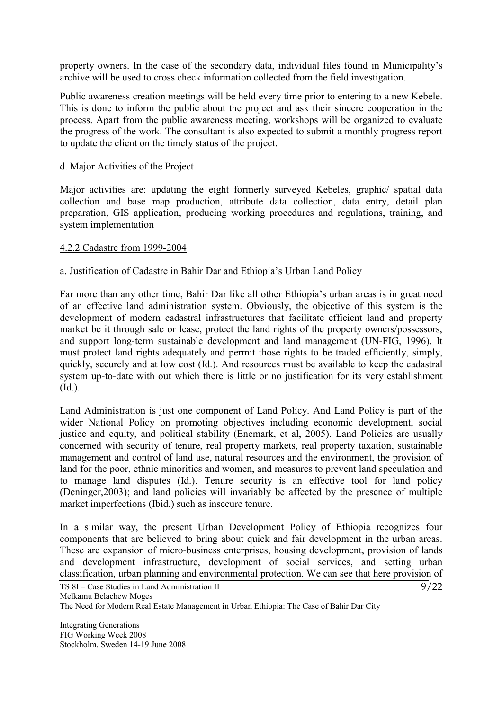property owners. In the case of the secondary data, individual files found in Municipality's archive will be used to cross check information collected from the field investigation.

Public awareness creation meetings will be held every time prior to entering to a new Kebele. This is done to inform the public about the project and ask their sincere cooperation in the process. Apart from the public awareness meeting, workshops will be organized to evaluate the progress of the work. The consultant is also expected to submit a monthly progress report to update the client on the timely status of the project.

#### d. Major Activities of the Project

Major activities are: updating the eight formerly surveyed Kebeles, graphic/ spatial data collection and base map production, attribute data collection, data entry, detail plan preparation, GIS application, producing working procedures and regulations, training, and system implementation

#### 4.2.2 Cadastre from 1999-2004

## a. Justification of Cadastre in Bahir Dar and Ethiopia's Urban Land Policy

Far more than any other time, Bahir Dar like all other Ethiopia's urban areas is in great need of an effective land administration system. Obviously, the objective of this system is the development of modern cadastral infrastructures that facilitate efficient land and property market be it through sale or lease, protect the land rights of the property owners/possessors, and support long-term sustainable development and land management (UN-FIG, 1996). It must protect land rights adequately and permit those rights to be traded efficiently, simply, quickly, securely and at low cost (Id.). And resources must be available to keep the cadastral system up-to-date with out which there is little or no justification for its very establishment (Id.).

Land Administration is just one component of Land Policy. And Land Policy is part of the wider National Policy on promoting objectives including economic development, social justice and equity, and political stability (Enemark, et al, 2005). Land Policies are usually concerned with security of tenure, real property markets, real property taxation, sustainable management and control of land use, natural resources and the environment, the provision of land for the poor, ethnic minorities and women, and measures to prevent land speculation and to manage land disputes (Id.). Tenure security is an effective tool for land policy (Deninger,2003); and land policies will invariably be affected by the presence of multiple market imperfections (Ibid.) such as insecure tenure.

In a similar way, the present Urban Development Policy of Ethiopia recognizes four components that are believed to bring about quick and fair development in the urban areas. These are expansion of micro-business enterprises, housing development, provision of lands and development infrastructure, development of social services, and setting urban classification, urban planning and environmental protection. We can see that here provision of

 $\frac{1}{9}$ /22

Integrating Generations FIG Working Week 2008 Stockholm, Sweden 14-19 June 2008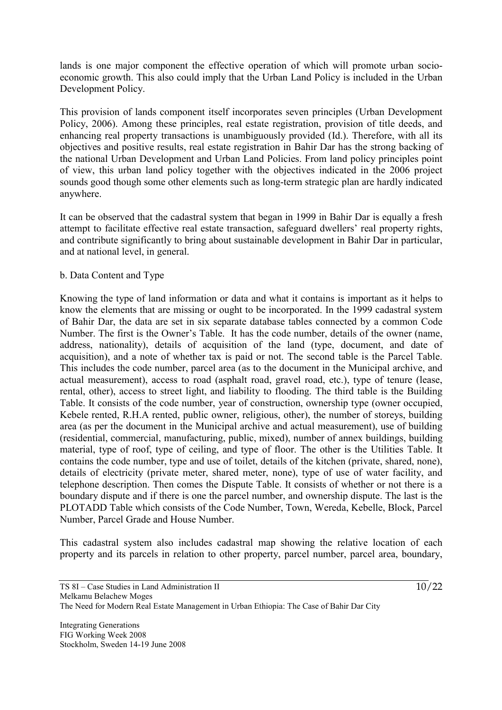lands is one major component the effective operation of which will promote urban socioeconomic growth. This also could imply that the Urban Land Policy is included in the Urban Development Policy.

This provision of lands component itself incorporates seven principles (Urban Development Policy, 2006). Among these principles, real estate registration, provision of title deeds, and enhancing real property transactions is unambiguously provided (Id.). Therefore, with all its objectives and positive results, real estate registration in Bahir Dar has the strong backing of the national Urban Development and Urban Land Policies. From land policy principles point of view, this urban land policy together with the objectives indicated in the 2006 project sounds good though some other elements such as long-term strategic plan are hardly indicated anywhere.

It can be observed that the cadastral system that began in 1999 in Bahir Dar is equally a fresh attempt to facilitate effective real estate transaction, safeguard dwellers' real property rights, and contribute significantly to bring about sustainable development in Bahir Dar in particular, and at national level, in general.

#### b. Data Content and Type

Knowing the type of land information or data and what it contains is important as it helps to know the elements that are missing or ought to be incorporated. In the 1999 cadastral system of Bahir Dar, the data are set in six separate database tables connected by a common Code Number. The first is the Owner's Table. It has the code number, details of the owner (name, address, nationality), details of acquisition of the land (type, document, and date of acquisition), and a note of whether tax is paid or not. The second table is the Parcel Table. This includes the code number, parcel area (as to the document in the Municipal archive, and actual measurement), access to road (asphalt road, gravel road, etc.), type of tenure (lease, rental, other), access to street light, and liability to flooding. The third table is the Building Table. It consists of the code number, year of construction, ownership type (owner occupied, Kebele rented, R.H.A rented, public owner, religious, other), the number of storeys, building area (as per the document in the Municipal archive and actual measurement), use of building (residential, commercial, manufacturing, public, mixed), number of annex buildings, building material, type of roof, type of ceiling, and type of floor. The other is the Utilities Table. It contains the code number, type and use of toilet, details of the kitchen (private, shared, none), details of electricity (private meter, shared meter, none), type of use of water facility, and telephone description. Then comes the Dispute Table. It consists of whether or not there is a boundary dispute and if there is one the parcel number, and ownership dispute. The last is the PLOTADD Table which consists of the Code Number, Town, Wereda, Kebelle, Block, Parcel Number, Parcel Grade and House Number.

This cadastral system also includes cadastral map showing the relative location of each property and its parcels in relation to other property, parcel number, parcel area, boundary,

Integrating Generations FIG Working Week 2008 Stockholm, Sweden 14-19 June 2008  $\frac{1}{10}$ /22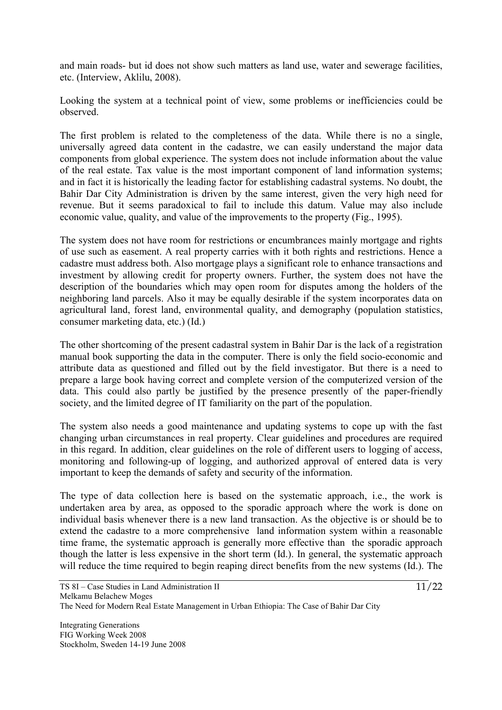and main roads- but id does not show such matters as land use, water and sewerage facilities, etc. (Interview, Aklilu, 2008).

Looking the system at a technical point of view, some problems or inefficiencies could be observed.

The first problem is related to the completeness of the data. While there is no a single, universally agreed data content in the cadastre, we can easily understand the major data components from global experience. The system does not include information about the value of the real estate. Tax value is the most important component of land information systems; and in fact it is historically the leading factor for establishing cadastral systems. No doubt, the Bahir Dar City Administration is driven by the same interest, given the very high need for revenue. But it seems paradoxical to fail to include this datum. Value may also include economic value, quality, and value of the improvements to the property (Fig., 1995).

The system does not have room for restrictions or encumbrances mainly mortgage and rights of use such as easement. A real property carries with it both rights and restrictions. Hence a cadastre must address both. Also mortgage plays a significant role to enhance transactions and investment by allowing credit for property owners. Further, the system does not have the description of the boundaries which may open room for disputes among the holders of the neighboring land parcels. Also it may be equally desirable if the system incorporates data on agricultural land, forest land, environmental quality, and demography (population statistics, consumer marketing data, etc.) (Id.)

The other shortcoming of the present cadastral system in Bahir Dar is the lack of a registration manual book supporting the data in the computer. There is only the field socio-economic and attribute data as questioned and filled out by the field investigator. But there is a need to prepare a large book having correct and complete version of the computerized version of the data. This could also partly be justified by the presence presently of the paper-friendly society, and the limited degree of IT familiarity on the part of the population.

The system also needs a good maintenance and updating systems to cope up with the fast changing urban circumstances in real property. Clear guidelines and procedures are required in this regard. In addition, clear guidelines on the role of different users to logging of access, monitoring and following-up of logging, and authorized approval of entered data is very important to keep the demands of safety and security of the information.

The type of data collection here is based on the systematic approach, i.e., the work is undertaken area by area, as opposed to the sporadic approach where the work is done on individual basis whenever there is a new land transaction. As the objective is or should be to extend the cadastre to a more comprehensive land information system within a reasonable time frame, the systematic approach is generally more effective than the sporadic approach though the latter is less expensive in the short term (Id.). In general, the systematic approach will reduce the time required to begin reaping direct benefits from the new systems (Id.). The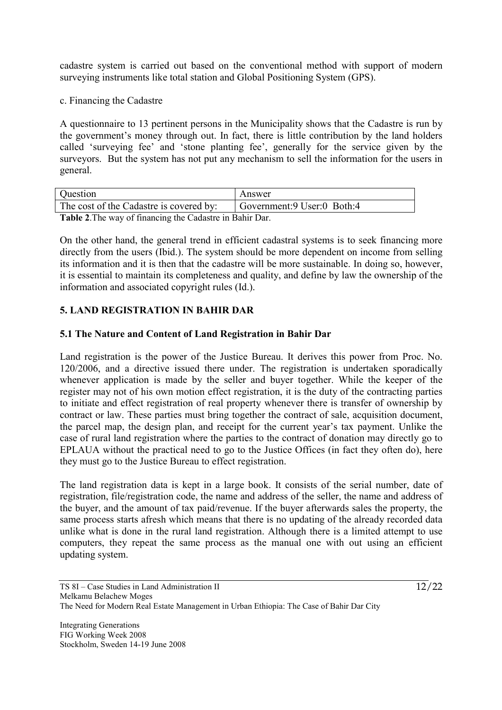cadastre system is carried out based on the conventional method with support of modern surveying instruments like total station and Global Positioning System (GPS).

c. Financing the Cadastre

A questionnaire to 13 pertinent persons in the Municipality shows that the Cadastre is run by the government's money through out. In fact, there is little contribution by the land holders called 'surveying fee' and 'stone planting fee', generally for the service given by the surveyors. But the system has not put any mechanism to sell the information for the users in general.

| Question                                                                                                                                                                                                                                                                                                  | Answer                        |  |
|-----------------------------------------------------------------------------------------------------------------------------------------------------------------------------------------------------------------------------------------------------------------------------------------------------------|-------------------------------|--|
| The cost of the Cadastre is covered by:                                                                                                                                                                                                                                                                   | Government: 9 User: 0 Both: 4 |  |
| $\mathbf{T}$ ii A $\mathbf{T}$ ii $\mathbf{C}$ if $\mathbf{C}$ ii $\mathbf{C}$ ii $\mathbf{C}$ ii $\mathbf{C}$ iii $\mathbf{C}$ iii $\mathbf{C}$ iii $\mathbf{C}$ iii $\mathbf{C}$ iii $\mathbf{C}$ iii $\mathbf{C}$ iii $\mathbf{C}$ iii $\mathbf{C}$ iii $\mathbf{C}$ iii $\mathbf{C}$ iii $\mathbf{C}$ |                               |  |

**Table 2**.The way of financing the Cadastre in Bahir Dar.

On the other hand, the general trend in efficient cadastral systems is to seek financing more directly from the users (Ibid.). The system should be more dependent on income from selling its information and it is then that the cadastre will be more sustainable. In doing so, however, it is essential to maintain its completeness and quality, and define by law the ownership of the information and associated copyright rules (Id.).

## **5. LAND REGISTRATION IN BAHIR DAR**

## **5.1 The Nature and Content of Land Registration in Bahir Dar**

Land registration is the power of the Justice Bureau. It derives this power from Proc. No. 120/2006, and a directive issued there under. The registration is undertaken sporadically whenever application is made by the seller and buyer together. While the keeper of the register may not of his own motion effect registration, it is the duty of the contracting parties to initiate and effect registration of real property whenever there is transfer of ownership by contract or law. These parties must bring together the contract of sale, acquisition document, the parcel map, the design plan, and receipt for the current year's tax payment. Unlike the case of rural land registration where the parties to the contract of donation may directly go to EPLAUA without the practical need to go to the Justice Offices (in fact they often do), here they must go to the Justice Bureau to effect registration.

The land registration data is kept in a large book. It consists of the serial number, date of registration, file/registration code, the name and address of the seller, the name and address of the buyer, and the amount of tax paid/revenue. If the buyer afterwards sales the property, the same process starts afresh which means that there is no updating of the already recorded data unlike what is done in the rural land registration. Although there is a limited attempt to use computers, they repeat the same process as the manual one with out using an efficient updating system.

Integrating Generations FIG Working Week 2008 Stockholm, Sweden 14-19 June 2008  $\frac{12}{22}$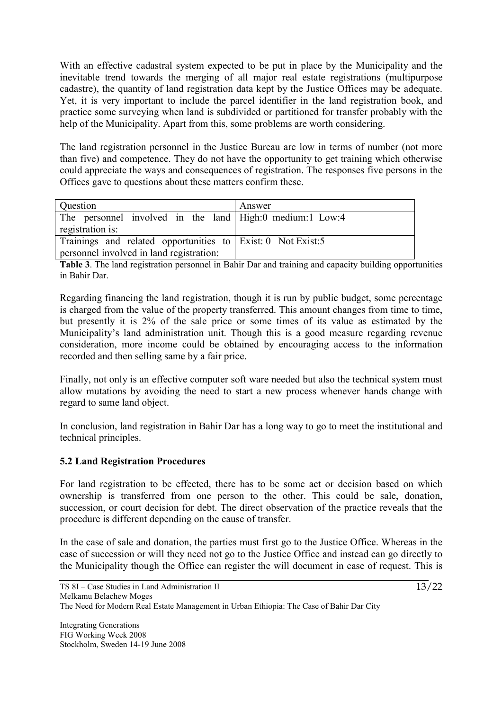With an effective cadastral system expected to be put in place by the Municipality and the inevitable trend towards the merging of all major real estate registrations (multipurpose cadastre), the quantity of land registration data kept by the Justice Offices may be adequate. Yet, it is very important to include the parcel identifier in the land registration book, and practice some surveying when land is subdivided or partitioned for transfer probably with the help of the Municipality. Apart from this, some problems are worth considering.

The land registration personnel in the Justice Bureau are low in terms of number (not more than five) and competence. They do not have the opportunity to get training which otherwise could appreciate the ways and consequences of registration. The responses five persons in the Offices gave to questions about these matters confirm these.

| Question                                                       | Answer |
|----------------------------------------------------------------|--------|
| The personnel involved in the land High:0 medium:1 Low:4       |        |
| registration is:                                               |        |
| Trainings and related opportunities to Exist: 0 Not Exist: $5$ |        |
| personnel involved in land registration:                       |        |

**Table 3**. The land registration personnel in Bahir Dar and training and capacity building opportunities in Bahir Dar.

Regarding financing the land registration, though it is run by public budget, some percentage is charged from the value of the property transferred. This amount changes from time to time, but presently it is 2% of the sale price or some times of its value as estimated by the Municipality's land administration unit. Though this is a good measure regarding revenue consideration, more income could be obtained by encouraging access to the information recorded and then selling same by a fair price.

Finally, not only is an effective computer soft ware needed but also the technical system must allow mutations by avoiding the need to start a new process whenever hands change with regard to same land object.

In conclusion, land registration in Bahir Dar has a long way to go to meet the institutional and technical principles.

## **5.2 Land Registration Procedures**

For land registration to be effected, there has to be some act or decision based on which ownership is transferred from one person to the other. This could be sale, donation, succession, or court decision for debt. The direct observation of the practice reveals that the procedure is different depending on the cause of transfer.

In the case of sale and donation, the parties must first go to the Justice Office. Whereas in the case of succession or will they need not go to the Justice Office and instead can go directly to the Municipality though the Office can register the will document in case of request. This is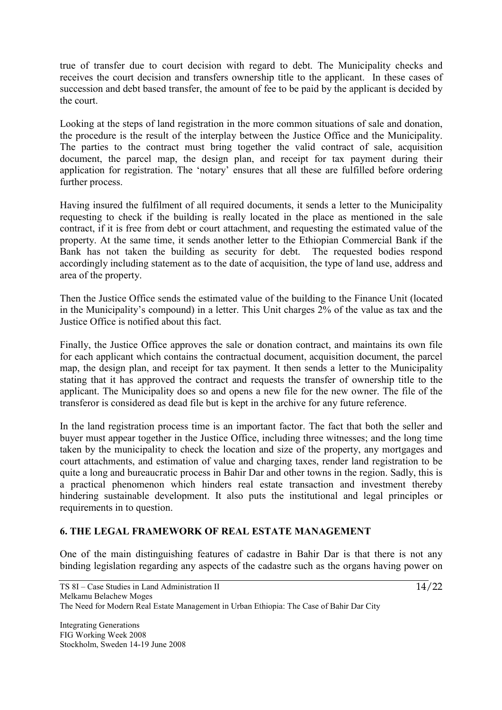true of transfer due to court decision with regard to debt. The Municipality checks and receives the court decision and transfers ownership title to the applicant. In these cases of succession and debt based transfer, the amount of fee to be paid by the applicant is decided by the court.

Looking at the steps of land registration in the more common situations of sale and donation, the procedure is the result of the interplay between the Justice Office and the Municipality. The parties to the contract must bring together the valid contract of sale, acquisition document, the parcel map, the design plan, and receipt for tax payment during their application for registration. The 'notary' ensures that all these are fulfilled before ordering further process.

Having insured the fulfilment of all required documents, it sends a letter to the Municipality requesting to check if the building is really located in the place as mentioned in the sale contract, if it is free from debt or court attachment, and requesting the estimated value of the property. At the same time, it sends another letter to the Ethiopian Commercial Bank if the Bank has not taken the building as security for debt. The requested bodies respond accordingly including statement as to the date of acquisition, the type of land use, address and area of the property.

Then the Justice Office sends the estimated value of the building to the Finance Unit (located in the Municipality's compound) in a letter. This Unit charges 2% of the value as tax and the Justice Office is notified about this fact.

Finally, the Justice Office approves the sale or donation contract, and maintains its own file for each applicant which contains the contractual document, acquisition document, the parcel map, the design plan, and receipt for tax payment. It then sends a letter to the Municipality stating that it has approved the contract and requests the transfer of ownership title to the applicant. The Municipality does so and opens a new file for the new owner. The file of the transferor is considered as dead file but is kept in the archive for any future reference.

In the land registration process time is an important factor. The fact that both the seller and buyer must appear together in the Justice Office, including three witnesses; and the long time taken by the municipality to check the location and size of the property, any mortgages and court attachments, and estimation of value and charging taxes, render land registration to be quite a long and bureaucratic process in Bahir Dar and other towns in the region. Sadly, this is a practical phenomenon which hinders real estate transaction and investment thereby hindering sustainable development. It also puts the institutional and legal principles or requirements in to question.

## **6. THE LEGAL FRAMEWORK OF REAL ESTATE MANAGEMENT**

One of the main distinguishing features of cadastre in Bahir Dar is that there is not any binding legislation regarding any aspects of the cadastre such as the organs having power on

Integrating Generations FIG Working Week 2008 Stockholm, Sweden 14-19 June 2008  $\frac{1}{14}/22$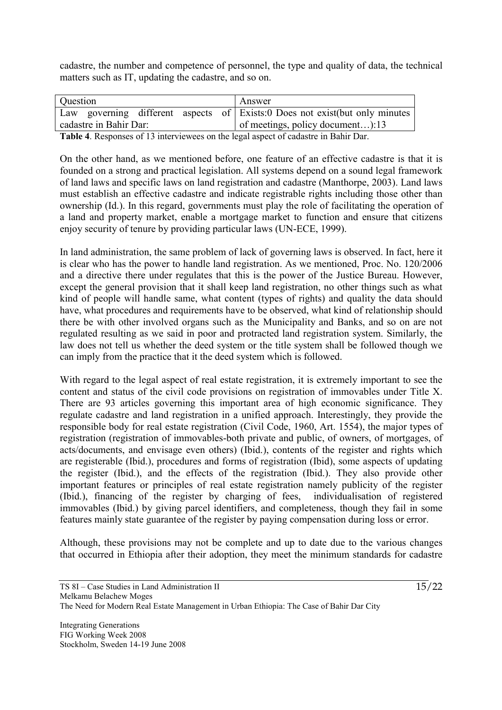cadastre, the number and competence of personnel, the type and quality of data, the technical matters such as IT, updating the cadastre, and so on.

| Question |                        |  | Answer                                                                      |
|----------|------------------------|--|-----------------------------------------------------------------------------|
|          |                        |  | Law governing different aspects of Exists:0 Does not exist(but only minutes |
|          | cadastre in Bahir Dar: |  | of meetings, policy document):13                                            |

**Table 4**. Responses of 13 interviewees on the legal aspect of cadastre in Bahir Dar.

On the other hand, as we mentioned before, one feature of an effective cadastre is that it is founded on a strong and practical legislation. All systems depend on a sound legal framework of land laws and specific laws on land registration and cadastre (Manthorpe, 2003). Land laws must establish an effective cadastre and indicate registrable rights including those other than ownership (Id.). In this regard, governments must play the role of facilitating the operation of a land and property market, enable a mortgage market to function and ensure that citizens enjoy security of tenure by providing particular laws (UN-ECE, 1999).

In land administration, the same problem of lack of governing laws is observed. In fact, here it is clear who has the power to handle land registration. As we mentioned, Proc. No. 120/2006 and a directive there under regulates that this is the power of the Justice Bureau. However, except the general provision that it shall keep land registration, no other things such as what kind of people will handle same, what content (types of rights) and quality the data should have, what procedures and requirements have to be observed, what kind of relationship should there be with other involved organs such as the Municipality and Banks, and so on are not regulated resulting as we said in poor and protracted land registration system. Similarly, the law does not tell us whether the deed system or the title system shall be followed though we can imply from the practice that it the deed system which is followed.

With regard to the legal aspect of real estate registration, it is extremely important to see the content and status of the civil code provisions on registration of immovables under Title X. There are 93 articles governing this important area of high economic significance. They regulate cadastre and land registration in a unified approach. Interestingly, they provide the responsible body for real estate registration (Civil Code, 1960, Art. 1554), the major types of registration (registration of immovables-both private and public, of owners, of mortgages, of acts/documents, and envisage even others) (Ibid.), contents of the register and rights which are registerable (Ibid.), procedures and forms of registration (Ibid), some aspects of updating the register (Ibid.), and the effects of the registration (Ibid.). They also provide other important features or principles of real estate registration namely publicity of the register (Ibid.), financing of the register by charging of fees, individualisation of registered immovables (Ibid.) by giving parcel identifiers, and completeness, though they fail in some features mainly state guarantee of the register by paying compensation during loss or error.

Although, these provisions may not be complete and up to date due to the various changes that occurred in Ethiopia after their adoption, they meet the minimum standards for cadastre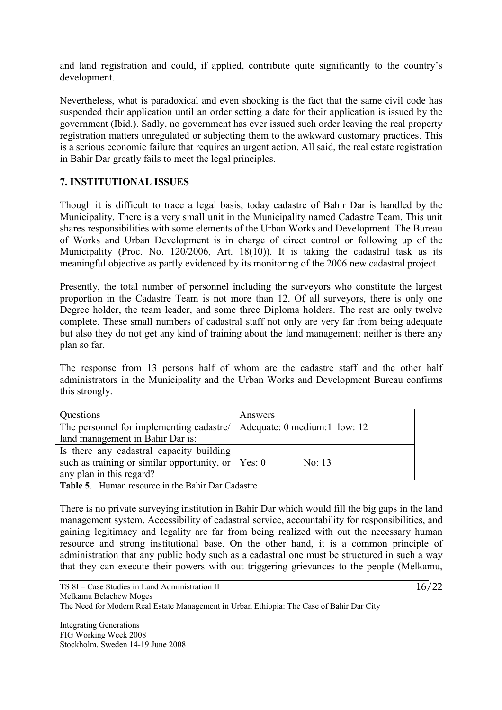and land registration and could, if applied, contribute quite significantly to the country's development.

Nevertheless, what is paradoxical and even shocking is the fact that the same civil code has suspended their application until an order setting a date for their application is issued by the government (Ibid.). Sadly, no government has ever issued such order leaving the real property registration matters unregulated or subjecting them to the awkward customary practices. This is a serious economic failure that requires an urgent action. All said, the real estate registration in Bahir Dar greatly fails to meet the legal principles.

## **7. INSTITUTIONAL ISSUES**

Though it is difficult to trace a legal basis, today cadastre of Bahir Dar is handled by the Municipality. There is a very small unit in the Municipality named Cadastre Team. This unit shares responsibilities with some elements of the Urban Works and Development. The Bureau of Works and Urban Development is in charge of direct control or following up of the Municipality (Proc. No. 120/2006, Art. 18(10)). It is taking the cadastral task as its meaningful objective as partly evidenced by its monitoring of the 2006 new cadastral project.

Presently, the total number of personnel including the surveyors who constitute the largest proportion in the Cadastre Team is not more than 12. Of all surveyors, there is only one Degree holder, the team leader, and some three Diploma holders. The rest are only twelve complete. These small numbers of cadastral staff not only are very far from being adequate but also they do not get any kind of training about the land management; neither is there any plan so far.

The response from 13 persons half of whom are the cadastre staff and the other half administrators in the Municipality and the Urban Works and Development Bureau confirms this strongly.

| Questions                                                                                    | Answers  |
|----------------------------------------------------------------------------------------------|----------|
| The personnel for implementing cadastre/   Adequate: 0 medium:1 low: 12                      |          |
| land management in Bahir Dar is:                                                             |          |
| Is there any cadastral capacity building                                                     |          |
| such as training or similar opportunity, or $\vert$ Yes: 0                                   | No: $13$ |
| any plan in this regard?                                                                     |          |
| $\cdot$ $\cdot$ $\cdot$ $\sim$ $\cdot$ $\cdot$<br>$\mathbf{m}$ , $\mathbf{m}$ , $\mathbf{m}$ |          |

**Table 5**. Human resource in the Bahir Dar Cadastre

There is no private surveying institution in Bahir Dar which would fill the big gaps in the land management system. Accessibility of cadastral service, accountability for responsibilities, and gaining legitimacy and legality are far from being realized with out the necessary human resource and strong institutional base. On the other hand, it is a common principle of administration that any public body such as a cadastral one must be structured in such a way that they can execute their powers with out triggering grievances to the people (Melkamu,

 $\frac{16}{22}$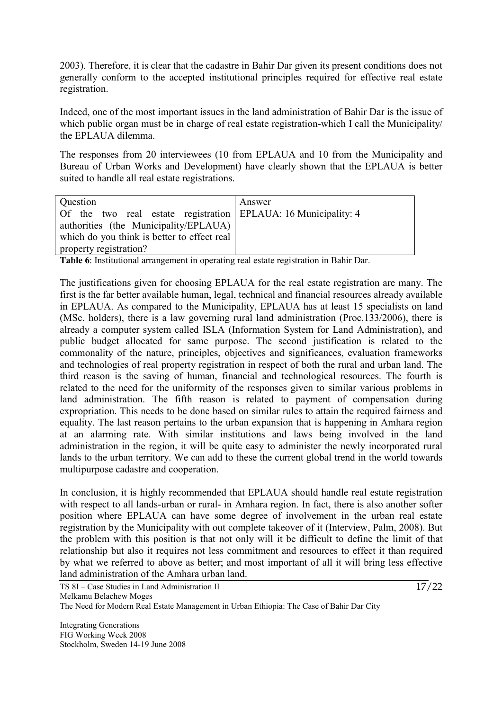2003). Therefore, it is clear that the cadastre in Bahir Dar given its present conditions does not generally conform to the accepted institutional principles required for effective real estate registration.

Indeed, one of the most important issues in the land administration of Bahir Dar is the issue of which public organ must be in charge of real estate registration-which I call the Municipality/ the EPLAUA dilemma.

The responses from 20 interviewees (10 from EPLAUA and 10 from the Municipality and Bureau of Urban Works and Development) have clearly shown that the EPLAUA is better suited to handle all real estate registrations.

| Question                                                                                                                                               | Answer |
|--------------------------------------------------------------------------------------------------------------------------------------------------------|--------|
| Of the two real estate registration EPLAUA: 16 Municipality: 4<br>authorities (the Municipality/EPLAUA)<br>which do you think is better to effect real |        |
| property registration?                                                                                                                                 |        |

**Table 6**: Institutional arrangement in operating real estate registration in Bahir Dar.

The justifications given for choosing EPLAUA for the real estate registration are many. The first is the far better available human, legal, technical and financial resources already available in EPLAUA. As compared to the Municipality, EPLAUA has at least 15 specialists on land (MSc. holders), there is a law governing rural land administration (Proc.133/2006), there is already a computer system called ISLA (Information System for Land Administration), and public budget allocated for same purpose. The second justification is related to the commonality of the nature, principles, objectives and significances, evaluation frameworks and technologies of real property registration in respect of both the rural and urban land. The third reason is the saving of human, financial and technological resources. The fourth is related to the need for the uniformity of the responses given to similar various problems in land administration. The fifth reason is related to payment of compensation during expropriation. This needs to be done based on similar rules to attain the required fairness and equality. The last reason pertains to the urban expansion that is happening in Amhara region at an alarming rate. With similar institutions and laws being involved in the land administration in the region, it will be quite easy to administer the newly incorporated rural lands to the urban territory. We can add to these the current global trend in the world towards multipurpose cadastre and cooperation.

In conclusion, it is highly recommended that EPLAUA should handle real estate registration with respect to all lands-urban or rural- in Amhara region. In fact, there is also another softer position where EPLAUA can have some degree of involvement in the urban real estate registration by the Municipality with out complete takeover of it (Interview, Palm, 2008). But the problem with this position is that not only will it be difficult to define the limit of that relationship but also it requires not less commitment and resources to effect it than required by what we referred to above as better; and most important of all it will bring less effective land administration of the Amhara urban land.

 $\frac{17}{22}$ 

Integrating Generations FIG Working Week 2008 Stockholm, Sweden 14-19 June 2008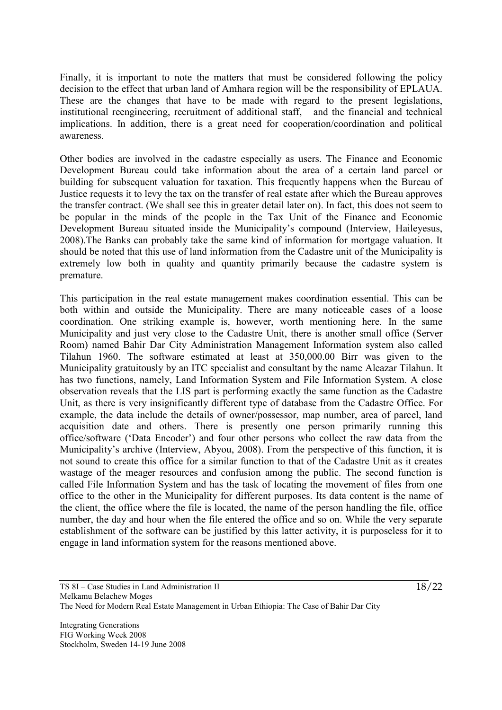Finally, it is important to note the matters that must be considered following the policy decision to the effect that urban land of Amhara region will be the responsibility of EPLAUA. These are the changes that have to be made with regard to the present legislations, institutional reengineering, recruitment of additional staff, and the financial and technical implications. In addition, there is a great need for cooperation/coordination and political awareness.

Other bodies are involved in the cadastre especially as users. The Finance and Economic Development Bureau could take information about the area of a certain land parcel or building for subsequent valuation for taxation. This frequently happens when the Bureau of Justice requests it to levy the tax on the transfer of real estate after which the Bureau approves the transfer contract. (We shall see this in greater detail later on). In fact, this does not seem to be popular in the minds of the people in the Tax Unit of the Finance and Economic Development Bureau situated inside the Municipality's compound (Interview, Haileyesus, 2008).The Banks can probably take the same kind of information for mortgage valuation. It should be noted that this use of land information from the Cadastre unit of the Municipality is extremely low both in quality and quantity primarily because the cadastre system is premature.

This participation in the real estate management makes coordination essential. This can be both within and outside the Municipality. There are many noticeable cases of a loose coordination. One striking example is, however, worth mentioning here. In the same Municipality and just very close to the Cadastre Unit, there is another small office (Server Room) named Bahir Dar City Administration Management Information system also called Tilahun 1960. The software estimated at least at 350,000.00 Birr was given to the Municipality gratuitously by an ITC specialist and consultant by the name Aleazar Tilahun. It has two functions, namely, Land Information System and File Information System. A close observation reveals that the LIS part is performing exactly the same function as the Cadastre Unit, as there is very insignificantly different type of database from the Cadastre Office. For example, the data include the details of owner/possessor, map number, area of parcel, land acquisition date and others. There is presently one person primarily running this office/software ('Data Encoder') and four other persons who collect the raw data from the Municipality's archive (Interview, Abyou, 2008). From the perspective of this function, it is not sound to create this office for a similar function to that of the Cadastre Unit as it creates wastage of the meager resources and confusion among the public. The second function is called File Information System and has the task of locating the movement of files from one office to the other in the Municipality for different purposes. Its data content is the name of the client, the office where the file is located, the name of the person handling the file, office number, the day and hour when the file entered the office and so on. While the very separate establishment of the software can be justified by this latter activity, it is purposeless for it to engage in land information system for the reasons mentioned above.

Integrating Generations FIG Working Week 2008 Stockholm, Sweden 14-19 June 2008  $\frac{18}{22}$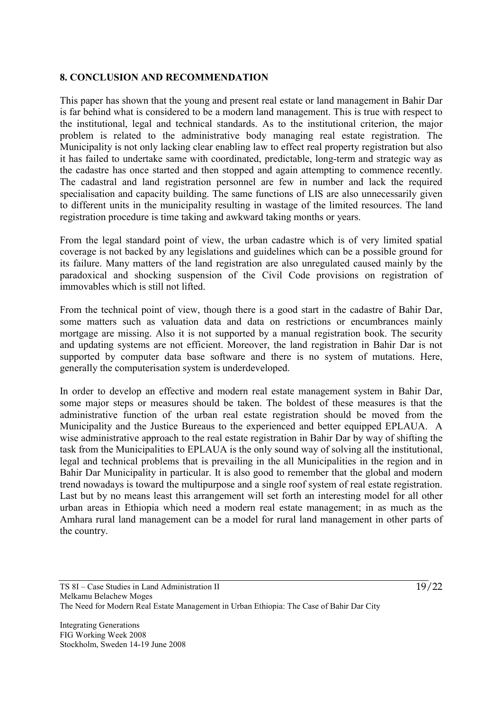#### **8. CONCLUSION AND RECOMMENDATION**

This paper has shown that the young and present real estate or land management in Bahir Dar is far behind what is considered to be a modern land management. This is true with respect to the institutional, legal and technical standards. As to the institutional criterion, the major problem is related to the administrative body managing real estate registration. The Municipality is not only lacking clear enabling law to effect real property registration but also it has failed to undertake same with coordinated, predictable, long-term and strategic way as the cadastre has once started and then stopped and again attempting to commence recently. The cadastral and land registration personnel are few in number and lack the required specialisation and capacity building. The same functions of LIS are also unnecessarily given to different units in the municipality resulting in wastage of the limited resources. The land registration procedure is time taking and awkward taking months or years.

From the legal standard point of view, the urban cadastre which is of very limited spatial coverage is not backed by any legislations and guidelines which can be a possible ground for its failure. Many matters of the land registration are also unregulated caused mainly by the paradoxical and shocking suspension of the Civil Code provisions on registration of immovables which is still not lifted.

From the technical point of view, though there is a good start in the cadastre of Bahir Dar, some matters such as valuation data and data on restrictions or encumbrances mainly mortgage are missing. Also it is not supported by a manual registration book. The security and updating systems are not efficient. Moreover, the land registration in Bahir Dar is not supported by computer data base software and there is no system of mutations. Here, generally the computerisation system is underdeveloped.

In order to develop an effective and modern real estate management system in Bahir Dar, some major steps or measures should be taken. The boldest of these measures is that the administrative function of the urban real estate registration should be moved from the Municipality and the Justice Bureaus to the experienced and better equipped EPLAUA. A wise administrative approach to the real estate registration in Bahir Dar by way of shifting the task from the Municipalities to EPLAUA is the only sound way of solving all the institutional, legal and technical problems that is prevailing in the all Municipalities in the region and in Bahir Dar Municipality in particular. It is also good to remember that the global and modern trend nowadays is toward the multipurpose and a single roof system of real estate registration. Last but by no means least this arrangement will set forth an interesting model for all other urban areas in Ethiopia which need a modern real estate management; in as much as the Amhara rural land management can be a model for rural land management in other parts of the country.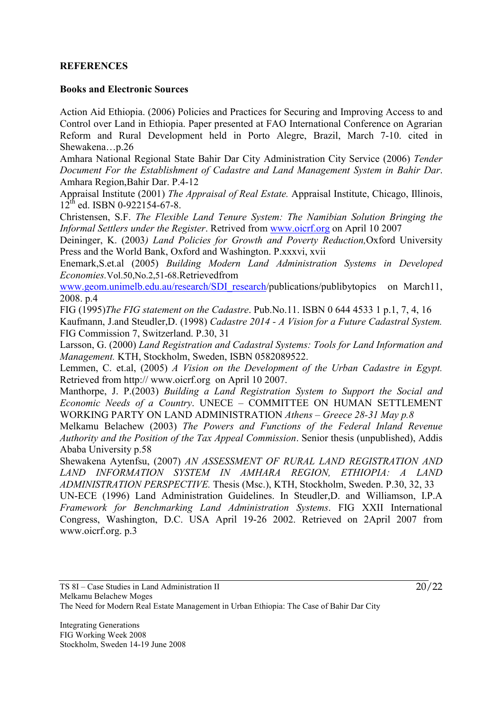## **REFERENCES**

#### **Books and Electronic Sources**

Action Aid Ethiopia. (2006) Policies and Practices for Securing and Improving Access to and Control over Land in Ethiopia. Paper presented at FAO International Conference on Agrarian Reform and Rural Development held in Porto Alegre, Brazil, March 7-10. cited in Shewakena…p.26

Amhara National Regional State Bahir Dar City Administration City Service (2006) *Tender Document For the Establishment of Cadastre and Land Management System in Bahir Dar*. Amhara Region,Bahir Dar. P.4-12

Appraisal Institute (2001) *The Appraisal of Real Estate.* Appraisal Institute, Chicago, Illinois,  $12^{th}$  ed. ISBN 0-922154-67-8.

Christensen, S.F. *The Flexible Land Tenure System: The Namibian Solution Bringing the Informal Settlers under the Register*. Retrived from www.oicrf.org on April 10 2007

Deininger, K. (2003*) Land Policies for Growth and Poverty Reduction,*Oxford University Press and the World Bank, Oxford and Washington. P.xxxvi, xvii

Enemark,S.et.al (2005) *Building Modern Land Administration Systems in Developed Economies.*Vol.50,No.2,51-68.Retrievedfrom

www.geom.unimelb.edu.au/research/SDI\_research/publications/publibytopics on March11, 2008. p.4

FIG (1995)*The FIG statement on the Cadastre*. Pub.No.11. ISBN 0 644 4533 1 p.1, 7, 4, 16

Kaufmann, J.and Steudler,D. (1998) *Cadastre 2014 - A Vision for a Future Cadastral System.*  FIG Commission 7, Switzerland. P.30, 31

Larsson, G. (2000) *Land Registration and Cadastral Systems: Tools for Land Information and Management.* KTH, Stockholm, Sweden, ISBN 0582089522.

Lemmen, C. et.al, (2005) *A Vision on the Development of the Urban Cadastre in Egypt.* Retrieved from http:// www.oicrf.org on April 10 2007.

Manthorpe, J. P.(2003) *Building a Land Registration System to Support the Social and Economic Needs of a Country*. UNECE – COMMITTEE ON HUMAN SETTLEMENT WORKING PARTY ON LAND ADMINISTRATION *Athens – Greece 28-31 May p.8* 

Melkamu Belachew (2003) *The Powers and Functions of the Federal Inland Revenue Authority and the Position of the Tax Appeal Commission*. Senior thesis (unpublished), Addis Ababa University p.58

Shewakena Aytenfsu, (2007) *AN ASSESSMENT OF RURAL LAND REGISTRATION AND LAND INFORMATION SYSTEM IN AMHARA REGION, ETHIOPIA: A LAND ADMINISTRATION PERSPECTIVE.* Thesis (Msc.), KTH, Stockholm, Sweden. P.30, 32, 33

UN-ECE (1996) Land Administration Guidelines. In Steudler,D. and Williamson, I.P.A *Framework for Benchmarking Land Administration Systems*. FIG XXII International Congress, Washington, D.C. USA April 19-26 2002. Retrieved on 2April 2007 from www.oicrf.org. p.3

Integrating Generations FIG Working Week 2008 Stockholm, Sweden 14-19 June 2008  $\frac{20}{22}$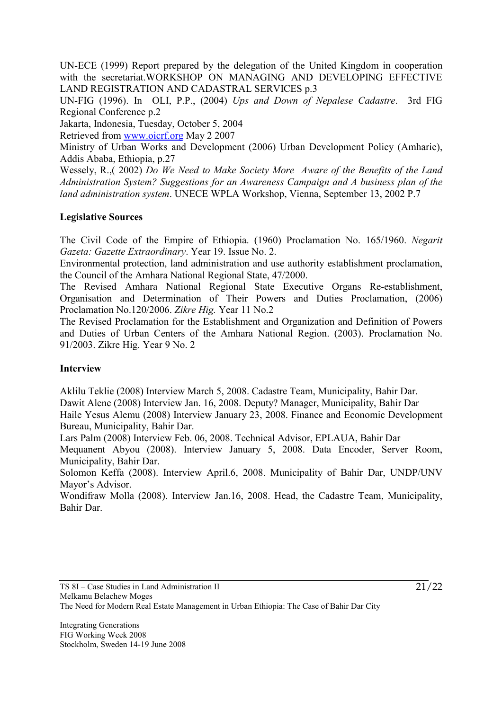UN-ECE (1999) Report prepared by the delegation of the United Kingdom in cooperation with the secretariat.WORKSHOP ON MANAGING AND DEVELOPING EFFECTIVE LAND REGISTRATION AND CADASTRAL SERVICES p.3

UN-FIG (1996). In OLI, P.P., (2004) *Ups and Down of Nepalese Cadastre*. 3rd FIG Regional Conference p.2

Jakarta, Indonesia, Tuesday, October 5, 2004

Retrieved from www.oicrf.org May 2 2007

Ministry of Urban Works and Development (2006) Urban Development Policy (Amharic), Addis Ababa, Ethiopia, p.27

Wessely, R.,( 2002) *Do We Need to Make Society More Aware of the Benefits of the Land Administration System? Suggestions for an Awareness Campaign and A business plan of the land administration system*. UNECE WPLA Workshop, Vienna, September 13, 2002 P.7

## **Legislative Sources**

The Civil Code of the Empire of Ethiopia. (1960) Proclamation No. 165/1960. *Negarit Gazeta: Gazette Extraordinary*. Year 19. Issue No. 2.

Environmental protection, land administration and use authority establishment proclamation, the Council of the Amhara National Regional State, 47/2000.

The Revised Amhara National Regional State Executive Organs Re-establishment, Organisation and Determination of Their Powers and Duties Proclamation, (2006) Proclamation No.120/2006. *Zikre Hig.* Year 11 No.2

The Revised Proclamation for the Establishment and Organization and Definition of Powers and Duties of Urban Centers of the Amhara National Region. (2003). Proclamation No. 91/2003. Zikre Hig. Year 9 No. 2

## **Interview**

Aklilu Teklie (2008) Interview March 5, 2008. Cadastre Team, Municipality, Bahir Dar. Dawit Alene (2008) Interview Jan. 16, 2008. Deputy? Manager, Municipality, Bahir Dar Haile Yesus Alemu (2008) Interview January 23, 2008. Finance and Economic Development Bureau, Municipality, Bahir Dar.

Lars Palm (2008) Interview Feb. 06, 2008. Technical Advisor, EPLAUA, Bahir Dar

Mequanent Abyou (2008). Interview January 5, 2008. Data Encoder, Server Room, Municipality, Bahir Dar.

Solomon Keffa (2008). Interview April.6, 2008. Municipality of Bahir Dar, UNDP/UNV Mayor's Advisor.

Wondifraw Molla (2008). Interview Jan.16, 2008. Head, the Cadastre Team, Municipality, Bahir Dar.